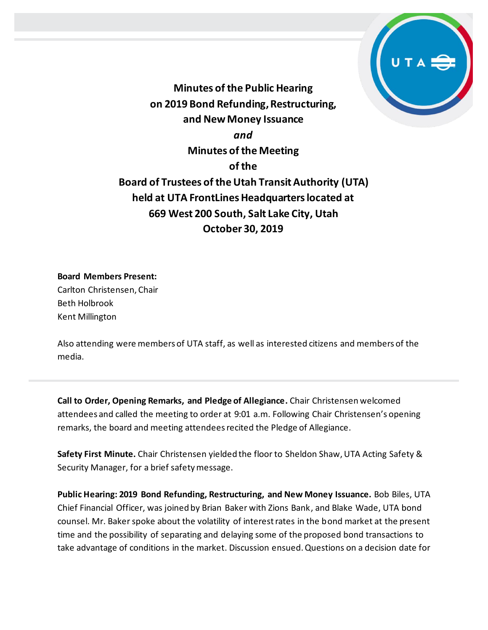

**Minutes of the Public Hearing on 2019 Bond Refunding, Restructuring, and New Money Issuance** *and* **Minutes of the Meeting of the Board of Trustees of the Utah Transit Authority (UTA) held at UTA FrontLines Headquarters located at 669 West 200 South, Salt Lake City, Utah October 30, 2019**

#### **Board Members Present:**

Carlton Christensen, Chair Beth Holbrook Kent Millington

Also attending were members of UTA staff, as well as interested citizens and members of the media.

**Call to Order, Opening Remarks, and Pledge of Allegiance.** Chair Christensen welcomed attendees and called the meeting to order at 9:01 a.m. Following Chair Christensen's opening remarks, the board and meeting attendees recited the Pledge of Allegiance.

**Safety First Minute.** Chair Christensen yielded the floor to Sheldon Shaw,UTA Acting Safety & Security Manager, for a brief safety message.

**Public Hearing: 2019 Bond Refunding, Restructuring, and New Money Issuance.** Bob Biles, UTA Chief Financial Officer, was joined by Brian Baker with Zions Bank, and Blake Wade, UTA bond counsel. Mr. Baker spoke about the volatility of interest rates in the bond market at the present time and the possibility of separating and delaying some of the proposed bond transactions to take advantage of conditions in the market. Discussion ensued. Questions on a decision date for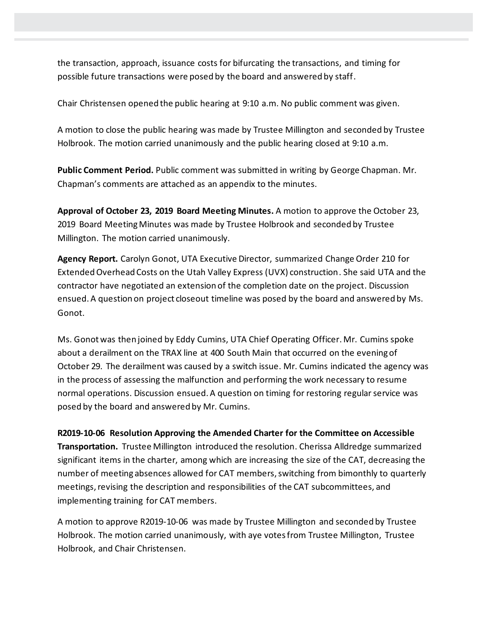the transaction, approach, issuance costs for bifurcating the transactions, and timing for possible future transactions were posed by the board and answered by staff.

Chair Christensen opened the public hearing at 9:10 a.m. No public comment was given.

A motion to close the public hearing was made by Trustee Millington and seconded by Trustee Holbrook. The motion carried unanimously and the public hearing closed at 9:10 a.m.

**Public Comment Period.** Public comment was submitted in writing by George Chapman. Mr. Chapman's comments are attached as an appendix to the minutes.

**Approval of October 23, 2019 Board Meeting Minutes.** A motion to approve the October 23, 2019 Board Meeting Minutes was made by Trustee Holbrook and seconded by Trustee Millington. The motion carried unanimously.

**Agency Report.** Carolyn Gonot, UTA Executive Director, summarized Change Order 210 for Extended Overhead Costs on the Utah Valley Express (UVX) construction. She said UTA and the contractor have negotiated an extension of the completion date on the project. Discussion ensued. A question on project closeout timeline was posed by the board and answered by Ms. Gonot.

Ms. Gonotwas then joined by Eddy Cumins, UTA Chief Operating Officer. Mr. Cumins spoke about a derailment on the TRAX line at 400 South Main that occurred on the evening of October 29. The derailment was caused by a switch issue. Mr. Cumins indicated the agency was in the process of assessing the malfunction and performing the work necessary to resume normal operations. Discussion ensued. A question on timing for restoring regular service was posed by the board and answered by Mr. Cumins.

**R2019-10-06 Resolution Approving the Amended Charter for the Committee on Accessible Transportation.** Trustee Millington introduced the resolution. Cherissa Alldredge summarized significant items in the charter, among which are increasing the size of the CAT, decreasing the number of meeting absences allowed for CAT members, switching from bimonthly to quarterly meetings, revising the description and responsibilities of the CAT subcommittees, and implementing training for CAT members.

A motion to approve R2019-10-06 was made by Trustee Millington and seconded by Trustee Holbrook. The motion carried unanimously, with aye votes from Trustee Millington, Trustee Holbrook, and Chair Christensen.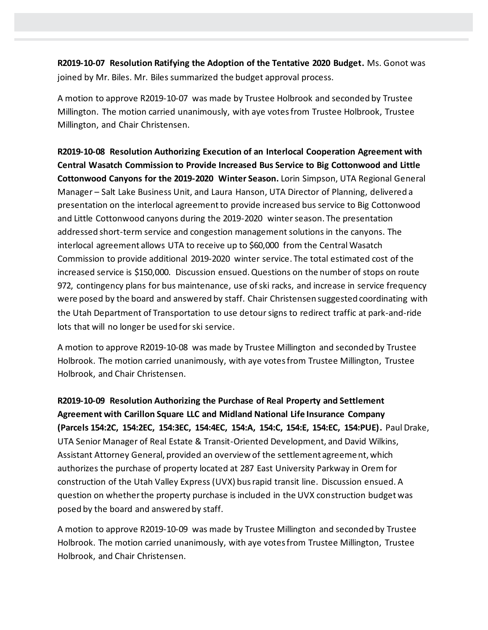**R2019-10-07 Resolution Ratifying the Adoption of the Tentative 2020 Budget.** Ms. Gonot was joined by Mr. Biles. Mr. Biles summarized the budget approval process.

A motion to approve R2019-10-07 was made by Trustee Holbrook and seconded by Trustee Millington. The motion carried unanimously, with aye votes from Trustee Holbrook, Trustee Millington, and Chair Christensen.

**R2019-10-08 Resolution Authorizing Execution of an Interlocal Cooperation Agreement with Central Wasatch Commission to Provide Increased Bus Service to Big Cottonwood and Little Cottonwood Canyons for the 2019-2020 Winter Season.** Lorin Simpson, UTA Regional General Manager – Salt Lake Business Unit, and Laura Hanson, UTA Director of Planning, delivered a presentation on the interlocal agreement to provide increased bus service to Big Cottonwood and Little Cottonwood canyons during the 2019-2020 winter season. The presentation addressed short-term service and congestion management solutions in the canyons. The interlocal agreement allows UTA to receive up to \$60,000 from the Central Wasatch Commission to provide additional 2019-2020 winter service. The total estimated cost of the increased service is \$150,000. Discussion ensued. Questions on the number of stops on route 972, contingency plans for bus maintenance, use of ski racks, and increase in service frequency were posed by the board and answered by staff. Chair Christensen suggested coordinating with the Utah Department of Transportation to use detour signs to redirect traffic at park-and-ride lots that will no longer be used for ski service.

A motion to approve R2019-10-08 was made by Trustee Millington and seconded by Trustee Holbrook. The motion carried unanimously, with aye votes from Trustee Millington, Trustee Holbrook, and Chair Christensen.

**R2019-10-09 Resolution Authorizing the Purchase of Real Property and Settlement Agreement with Carillon Square LLC and Midland National Life Insurance Company (Parcels 154:2C, 154:2EC, 154:3EC, 154:4EC, 154:A, 154:C, 154:E, 154:EC, 154:PUE).** Paul Drake, UTA Senior Manager of Real Estate & Transit-Oriented Development, and David Wilkins, Assistant Attorney General, provided an overview of the settlement agreement, which authorizes the purchase of property located at 287 East University Parkway in Orem for construction of the Utah Valley Express (UVX) bus rapid transit line. Discussion ensued. A question on whether the property purchase is included in the UVX construction budget was posed by the board and answered by staff.

A motion to approve R2019-10-09 was made by Trustee Millington and seconded by Trustee Holbrook. The motion carried unanimously, with aye votes from Trustee Millington, Trustee Holbrook, and Chair Christensen.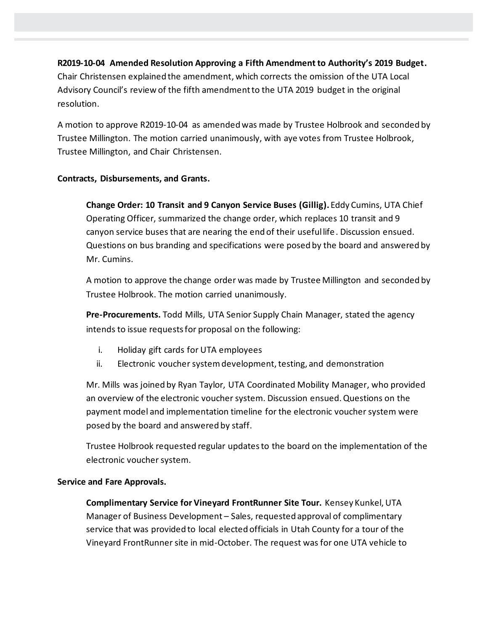## **R2019-10-04 Amended Resolution Approving a Fifth Amendment to Authority's 2019 Budget.**  Chair Christensen explained the amendment, which corrects the omission of the UTA Local Advisory Council's review of the fifth amendment to the UTA 2019 budget in the original resolution.

A motion to approve R2019-10-04 as amended was made by Trustee Holbrook and seconded by Trustee Millington. The motion carried unanimously, with aye votes from Trustee Holbrook, Trustee Millington, and Chair Christensen.

## **Contracts, Disbursements, and Grants.**

**Change Order: 10 Transit and 9 Canyon Service Buses (Gillig).** Eddy Cumins, UTA Chief Operating Officer, summarized the change order, which replaces 10 transit and 9 canyon service buses that are nearing the end of their useful life. Discussion ensued. Questions on bus branding and specifications were posed by the board and answered by Mr. Cumins.

A motion to approve the change order was made by Trustee Millington and seconded by Trustee Holbrook. The motion carried unanimously.

**Pre-Procurements.** Todd Mills, UTA Senior Supply Chain Manager, stated the agency intends to issue requests for proposal on the following:

- i. Holiday gift cards for UTA employees
- ii. Electronic voucher system development, testing, and demonstration

Mr. Mills was joined by Ryan Taylor, UTA Coordinated Mobility Manager, who provided an overview of the electronic voucher system. Discussion ensued. Questions on the payment model and implementation timeline for the electronic voucher system were posed by the board and answered by staff.

Trustee Holbrook requested regular updates to the board on the implementation of the electronic voucher system.

### **Service and Fare Approvals.**

**Complimentary Service for Vineyard FrontRunner Site Tour.** Kensey Kunkel, UTA Manager of Business Development – Sales, requested approval of complimentary service that was provided to local elected officials in Utah County for a tour of the Vineyard FrontRunner site in mid-October. The request was for one UTA vehicle to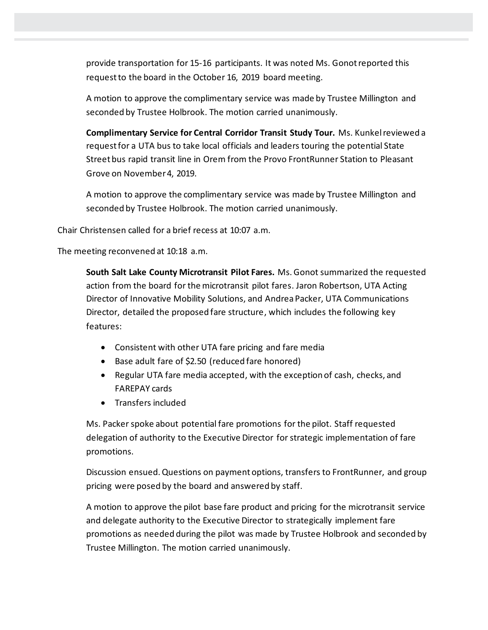provide transportation for 15-16 participants. It was noted Ms. Gonot reported this request to the board in the October 16, 2019 board meeting.

A motion to approve the complimentary service was made by Trustee Millington and seconded by Trustee Holbrook. The motion carried unanimously.

**Complimentary Service for Central Corridor Transit Study Tour.** Ms. Kunkel reviewed a request for a UTA bus to take local officials and leaders touring the potential State Street bus rapid transit line in Orem from the Provo FrontRunner Station to Pleasant Grove on November 4, 2019.

A motion to approve the complimentary service was made by Trustee Millington and seconded by Trustee Holbrook. The motion carried unanimously.

Chair Christensen called for a brief recess at 10:07 a.m.

The meeting reconvened at 10:18 a.m.

**South Salt Lake County Microtransit Pilot Fares.** Ms. Gonot summarized the requested action from the board for the microtransit pilot fares. Jaron Robertson, UTA Acting Director of Innovative Mobility Solutions, and Andrea Packer, UTA Communications Director, detailed the proposed fare structure, which includes the following key features:

- Consistent with other UTA fare pricing and fare media
- Base adult fare of \$2.50 (reduced fare honored)
- Regular UTA fare media accepted, with the exception of cash, checks, and FAREPAY cards
- Transfers included

Ms. Packer spoke about potential fare promotions for the pilot. Staff requested delegation of authority to the Executive Director for strategic implementation of fare promotions.

Discussion ensued. Questions on payment options, transfers to FrontRunner, and group pricing were posed by the board and answered by staff.

A motion to approve the pilot base fare product and pricing for the microtransit service and delegate authority to the Executive Director to strategically implement fare promotions as needed during the pilot was made by Trustee Holbrook and seconded by Trustee Millington. The motion carried unanimously.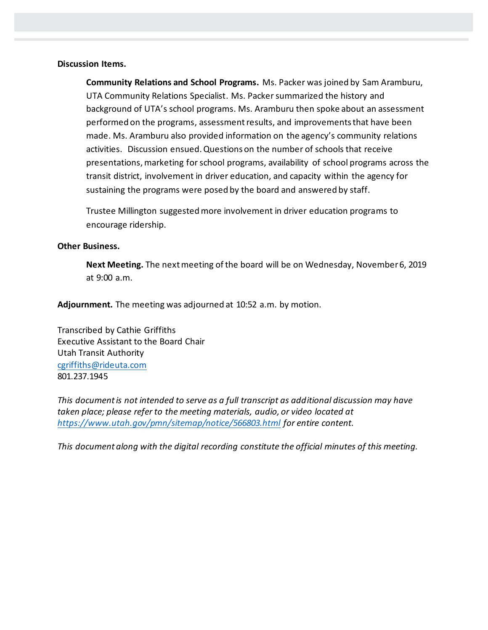#### **Discussion Items.**

**Community Relations and School Programs.** Ms. Packer was joined by Sam Aramburu, UTA Community Relations Specialist. Ms. Packer summarized the history and background of UTA's school programs. Ms. Aramburu then spoke about an assessment performed on the programs, assessment results, and improvements that have been made. Ms. Aramburu also provided information on the agency's community relations activities. Discussion ensued. Questions on the number of schools that receive presentations, marketing for school programs, availability of school programs across the transit district, involvement in driver education, and capacity within the agency for sustaining the programs were posed by the board and answered by staff.

Trustee Millington suggested more involvement in driver education programs to encourage ridership.

#### **Other Business.**

**Next Meeting.** The next meeting of the board will be on Wednesday, November 6, 2019 at 9:00 a.m.

**Adjournment.** The meeting was adjourned at 10:52 a.m. by motion.

Transcribed by Cathie Griffiths Executive Assistant to the Board Chair Utah Transit Authority [cgriffiths@rideuta.com](mailto:cgriffiths@rideuta.com) 801.237.1945

*This document is not intended to serve as a full transcript as additional discussion may have taken place; please refer to the meeting materials, audio, or video located at <https://www.utah.gov/pmn/sitemap/notice/566803.html> for entire content.*

*This document along with the digital recording constitute the official minutes of this meeting.*